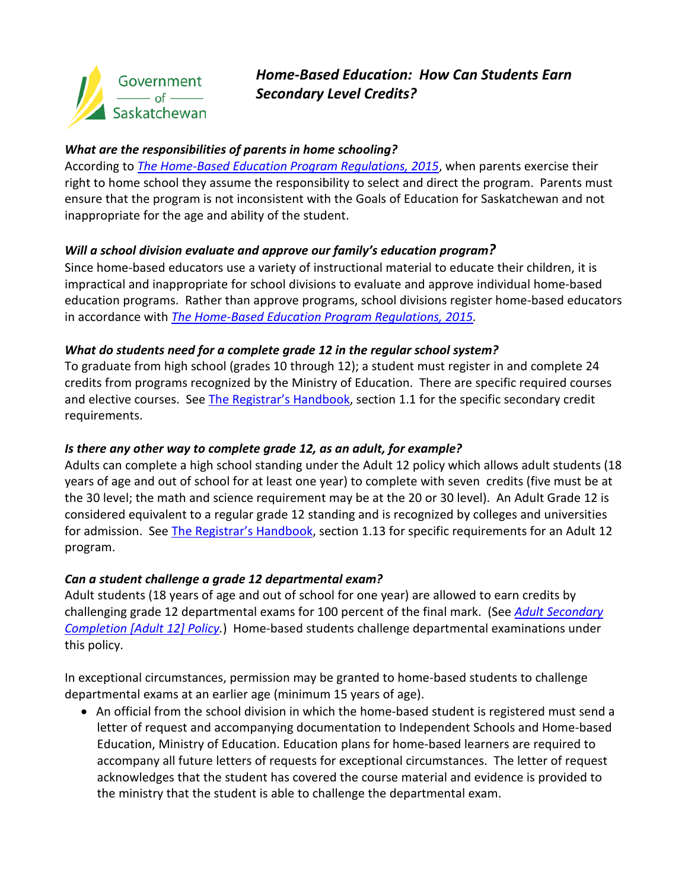

# *Home-Based Education: How Can Students Earn Secondary Level Credits?*

### *What are the responsibilities of parents in home schooling?*

According to *[The Home-Based Education Program Regulations, 2015](http://www.qp.gov.sk.ca/documents/English/Regulations/Regulations/E0-2r23.pdf)*, when parents exercise their right to home school they assume the responsibility to select and direct the program. Parents must ensure that the program is not inconsistent with the Goals of Education for Saskatchewan and not inappropriate for the age and ability of the student.

### *Will a school division evaluate and approve our family's education program?*

Since home-based educators use a variety of instructional material to educate their children, it is impractical and inappropriate for school divisions to evaluate and approve individual home-based education programs. Rather than approve programs, school divisions register home-based educators in accordance with *[The Home-Based Education Program Regulations, 2015.](http://www.qp.gov.sk.ca/documents/English/Regulations/Regulations/E0-2r23.pdf)*

### *What do students need for a complete grade 12 in the regular school system?*

To graduate from high school (grades 10 through 12); a student must register in and complete 24 credits from programs recognized by the Ministry of Education. There are specific required courses and elective courses. See [The Registrar's Handbook,](http://publications.gov.sk.ca/documents/11/86941-2016-17%20Registrar) section 1.1 for the specific secondary credit requirements.

## *Is there any other way to complete grade 12, as an adult, for example?*

Adults can complete a high school standing under the Adult 12 policy which allows adult students (18 years of age and out of school for at least one year) to complete with seven credits (five must be at the 30 level; the math and science requirement may be at the 20 or 30 level). An Adult Grade 12 is considered equivalent to a regular grade 12 standing and is recognized by colleges and universities for admission. See [The Registrar's Handbook,](http://publications.gov.sk.ca/documents/11/86941-2016-17%20Registrar) section 1.13 for specific requirements for an Adult 12 program.

### *Can a student challenge a grade 12 departmental exam?*

Adult students (18 years of age and out of school for one year) are allowed to earn credits by challenging grade 12 departmental exams for 100 percent of the final mark. (See *[Adult Secondary](http://economy.gov.sk.ca/abe/)  [Completion \[Adult 12\] Policy.](http://economy.gov.sk.ca/abe/)*) Home-based students challenge departmental examinations under this policy.

In exceptional circumstances, permission may be granted to home-based students to challenge departmental exams at an earlier age (minimum 15 years of age).

• An official from the school division in which the home-based student is registered must send a letter of request and accompanying documentation to Independent Schools and Home-based Education, Ministry of Education. Education plans for home-based learners are required to accompany all future letters of requests for exceptional circumstances. The letter of request acknowledges that the student has covered the course material and evidence is provided to the ministry that the student is able to challenge the departmental exam.